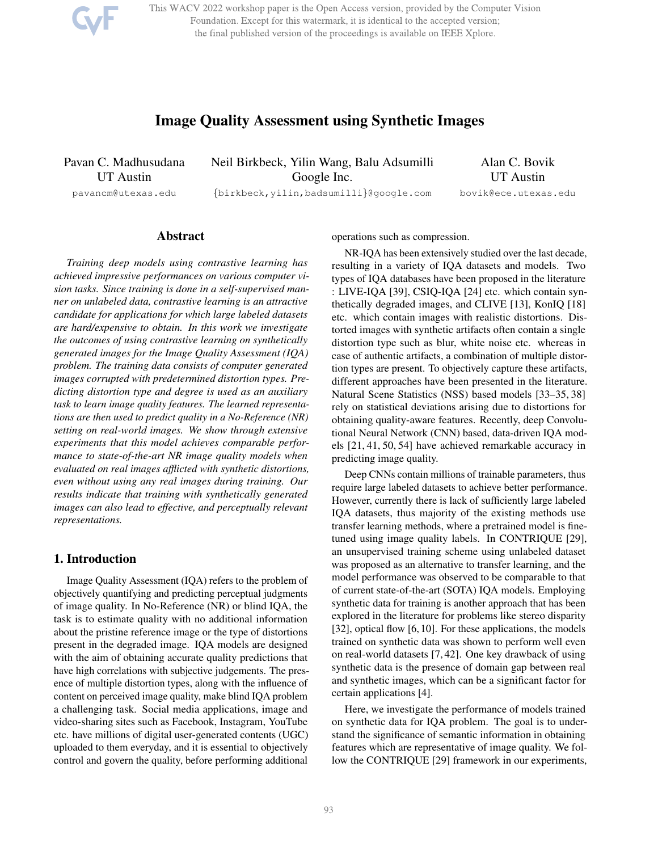This WACV 2022 workshop paper is the Open Access version, provided by the Computer Vision Foundation. Except for this watermark, it is identical to the accepted version; the final published version of the proceedings is available on IEEE Xplore.

# Image Quality Assessment using Synthetic Images

Pavan C. Madhusudana UT Austin

Neil Birkbeck, Yilin Wang, Balu Adsumilli Google Inc.

Alan C. Bovik UT Austin bovik@ece.utexas.edu

pavancm@utexas.edu

{birkbeck,yilin,badsumilli}@google.com

# Abstract

*Training deep models using contrastive learning has achieved impressive performances on various computer vision tasks. Since training is done in a self-supervised manner on unlabeled data, contrastive learning is an attractive candidate for applications for which large labeled datasets are hard/expensive to obtain. In this work we investigate the outcomes of using contrastive learning on synthetically generated images for the Image Quality Assessment (IQA) problem. The training data consists of computer generated images corrupted with predetermined distortion types. Predicting distortion type and degree is used as an auxiliary task to learn image quality features. The learned representations are then used to predict quality in a No-Reference (NR) setting on real-world images. We show through extensive experiments that this model achieves comparable performance to state-of-the-art NR image quality models when evaluated on real images afflicted with synthetic distortions, even without using any real images during training. Our results indicate that training with synthetically generated images can also lead to effective, and perceptually relevant representations.*

# 1. Introduction

Image Quality Assessment (IQA) refers to the problem of objectively quantifying and predicting perceptual judgments of image quality. In No-Reference (NR) or blind IQA, the task is to estimate quality with no additional information about the pristine reference image or the type of distortions present in the degraded image. IQA models are designed with the aim of obtaining accurate quality predictions that have high correlations with subjective judgements. The presence of multiple distortion types, along with the influence of content on perceived image quality, make blind IQA problem a challenging task. Social media applications, image and video-sharing sites such as Facebook, Instagram, YouTube etc. have millions of digital user-generated contents (UGC) uploaded to them everyday, and it is essential to objectively control and govern the quality, before performing additional

operations such as compression.

NR-IQA has been extensively studied over the last decade, resulting in a variety of IQA datasets and models. Two types of IQA databases have been proposed in the literature : LIVE-IQA [39], CSIQ-IQA [24] etc. which contain synthetically degraded images, and CLIVE [13], KonIQ [18] etc. which contain images with realistic distortions. Distorted images with synthetic artifacts often contain a single distortion type such as blur, white noise etc. whereas in case of authentic artifacts, a combination of multiple distortion types are present. To objectively capture these artifacts, different approaches have been presented in the literature. Natural Scene Statistics (NSS) based models [33–35, 38] rely on statistical deviations arising due to distortions for obtaining quality-aware features. Recently, deep Convolutional Neural Network (CNN) based, data-driven IQA models [21, 41, 50, 54] have achieved remarkable accuracy in predicting image quality.

Deep CNNs contain millions of trainable parameters, thus require large labeled datasets to achieve better performance. However, currently there is lack of sufficiently large labeled IQA datasets, thus majority of the existing methods use transfer learning methods, where a pretrained model is finetuned using image quality labels. In CONTRIQUE [29], an unsupervised training scheme using unlabeled dataset was proposed as an alternative to transfer learning, and the model performance was observed to be comparable to that of current state-of-the-art (SOTA) IQA models. Employing synthetic data for training is another approach that has been explored in the literature for problems like stereo disparity [32], optical flow [6, 10]. For these applications, the models trained on synthetic data was shown to perform well even on real-world datasets [7, 42]. One key drawback of using synthetic data is the presence of domain gap between real and synthetic images, which can be a significant factor for certain applications [4].

Here, we investigate the performance of models trained on synthetic data for IQA problem. The goal is to understand the significance of semantic information in obtaining features which are representative of image quality. We follow the CONTRIQUE [29] framework in our experiments,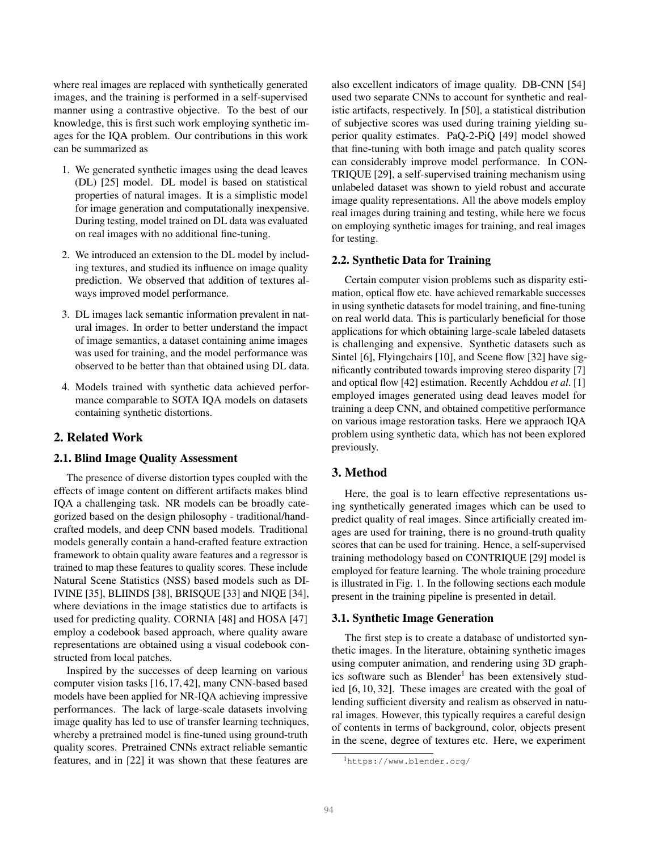where real images are replaced with synthetically generated images, and the training is performed in a self-supervised manner using a contrastive objective. To the best of our knowledge, this is first such work employing synthetic images for the IQA problem. Our contributions in this work can be summarized as

- 1. We generated synthetic images using the dead leaves (DL) [25] model. DL model is based on statistical properties of natural images. It is a simplistic model for image generation and computationally inexpensive. During testing, model trained on DL data was evaluated on real images with no additional fine-tuning.
- 2. We introduced an extension to the DL model by including textures, and studied its influence on image quality prediction. We observed that addition of textures always improved model performance.
- 3. DL images lack semantic information prevalent in natural images. In order to better understand the impact of image semantics, a dataset containing anime images was used for training, and the model performance was observed to be better than that obtained using DL data.
- 4. Models trained with synthetic data achieved performance comparable to SOTA IQA models on datasets containing synthetic distortions.

# 2. Related Work

#### 2.1. Blind Image Quality Assessment

The presence of diverse distortion types coupled with the effects of image content on different artifacts makes blind IQA a challenging task. NR models can be broadly categorized based on the design philosophy - traditional/handcrafted models, and deep CNN based models. Traditional models generally contain a hand-crafted feature extraction framework to obtain quality aware features and a regressor is trained to map these features to quality scores. These include Natural Scene Statistics (NSS) based models such as DI-IVINE [35], BLIINDS [38], BRISQUE [33] and NIQE [34], where deviations in the image statistics due to artifacts is used for predicting quality. CORNIA [48] and HOSA [47] employ a codebook based approach, where quality aware representations are obtained using a visual codebook constructed from local patches.

Inspired by the successes of deep learning on various computer vision tasks [16, 17, 42], many CNN-based based models have been applied for NR-IQA achieving impressive performances. The lack of large-scale datasets involving image quality has led to use of transfer learning techniques, whereby a pretrained model is fine-tuned using ground-truth quality scores. Pretrained CNNs extract reliable semantic features, and in [22] it was shown that these features are

also excellent indicators of image quality. DB-CNN [54] used two separate CNNs to account for synthetic and realistic artifacts, respectively. In [50], a statistical distribution of subjective scores was used during training yielding superior quality estimates. PaQ-2-PiQ [49] model showed that fine-tuning with both image and patch quality scores can considerably improve model performance. In CON-TRIQUE [29], a self-supervised training mechanism using unlabeled dataset was shown to yield robust and accurate image quality representations. All the above models employ real images during training and testing, while here we focus on employing synthetic images for training, and real images for testing.

#### 2.2. Synthetic Data for Training

Certain computer vision problems such as disparity estimation, optical flow etc. have achieved remarkable successes in using synthetic datasets for model training, and fine-tuning on real world data. This is particularly beneficial for those applications for which obtaining large-scale labeled datasets is challenging and expensive. Synthetic datasets such as Sintel [6], Flyingchairs [10], and Scene flow [32] have significantly contributed towards improving stereo disparity [7] and optical flow [42] estimation. Recently Achddou *et al*. [1] employed images generated using dead leaves model for training a deep CNN, and obtained competitive performance on various image restoration tasks. Here we appraoch IQA problem using synthetic data, which has not been explored previously.

# 3. Method

Here, the goal is to learn effective representations using synthetically generated images which can be used to predict quality of real images. Since artificially created images are used for training, there is no ground-truth quality scores that can be used for training. Hence, a self-supervised training methodology based on CONTRIQUE [29] model is employed for feature learning. The whole training procedure is illustrated in Fig. 1. In the following sections each module present in the training pipeline is presented in detail.

#### 3.1. Synthetic Image Generation

The first step is to create a database of undistorted synthetic images. In the literature, obtaining synthetic images using computer animation, and rendering using 3D graphics software such as  $B$ lender<sup>1</sup> has been extensively studied [6, 10, 32]. These images are created with the goal of lending sufficient diversity and realism as observed in natural images. However, this typically requires a careful design of contents in terms of background, color, objects present in the scene, degree of textures etc. Here, we experiment

<sup>1</sup>https://www.blender.org/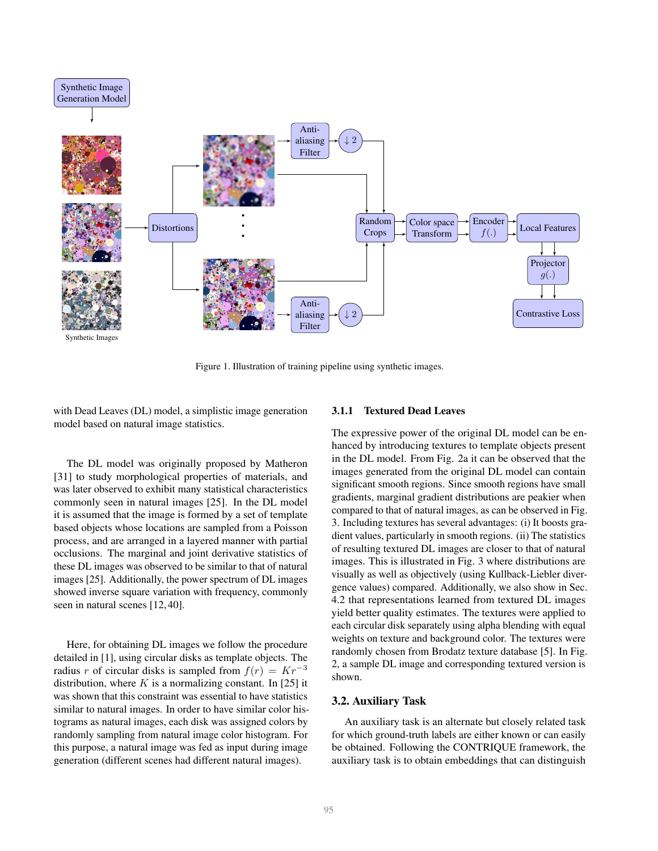

Figure 1. Illustration of training pipeline using synthetic images.

with Dead Leaves (DL) model, a simplistic image generation model based on natural image statistics.

The DL model was originally proposed by Matheron [31] to study morphological properties of materials, and was later observed to exhibit many statistical characteristics commonly seen in natural images [25]. In the DL model it is assumed that the image is formed by a set of template based objects whose locations are sampled from a Poisson process, and are arranged in a layered manner with partial occlusions. The marginal and joint derivative statistics of these DL images was observed to be similar to that of natural images [25]. Additionally, the power spectrum of DL images showed inverse square variation with frequency, commonly seen in natural scenes [12, 40].

Here, for obtaining DL images we follow the procedure detailed in [1], using circular disks as template objects. The radius r of circular disks is sampled from  $f(r) = Kr^{-3}$ distribution, where K is a normalizing constant. In [25] it was shown that this constraint was essential to have statistics similar to natural images. In order to have similar color histograms as natural images, each disk was assigned colors by randomly sampling from natural image color histogram. For this purpose, a natural image was fed as input during image generation (different scenes had different natural images).

#### 3.1.1 Textured Dead Leaves

The expressive power of the original DL model can be enhanced by introducing textures to template objects present in the DL model. From Fig. 2a it can be observed that the images generated from the original DL model can contain significant smooth regions. Since smooth regions have small gradients, marginal gradient distributions are peakier when compared to that of natural images, as can be observed in Fig. 3. Including textures has several advantages: (i) It boosts gradient values, particularly in smooth regions. (ii) The statistics of resulting textured DL images are closer to that of natural images. This is illustrated in Fig. 3 where distributions are visually as well as objectively (using Kullback-Liebler divergence values) compared. Additionally, we also show in Sec. 4.2 that representations learned from textured DL images yield better quality estimates. The textures were applied to each circular disk separately using alpha blending with equal weights on texture and background color. The textures were randomly chosen from Brodatz texture database [5]. In Fig. 2, a sample DL image and corresponding textured version is shown.

#### 3.2. Auxiliary Task

An auxiliary task is an alternate but closely related task for which ground-truth labels are either known or can easily be obtained. Following the CONTRIQUE framework, the auxiliary task is to obtain embeddings that can distinguish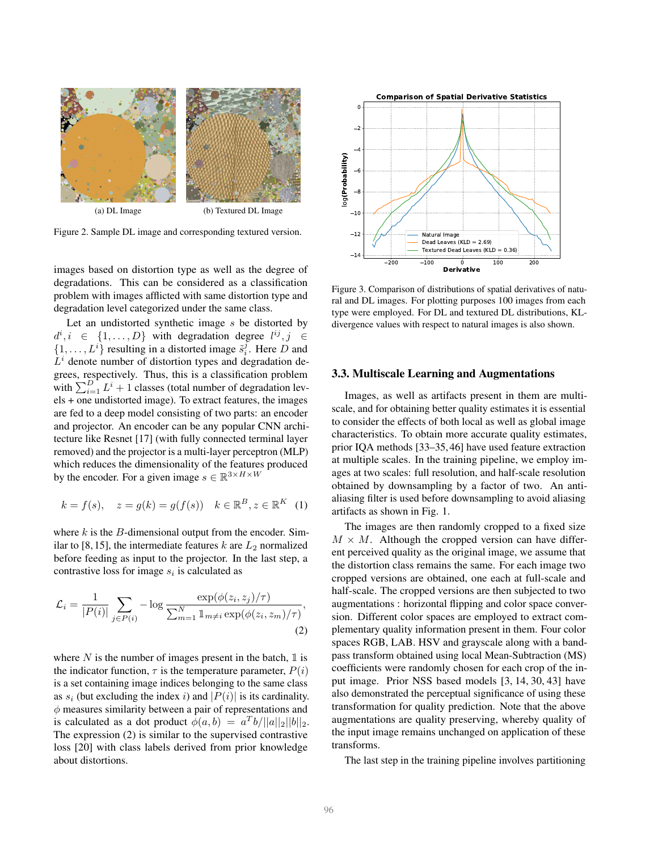

Figure 2. Sample DL image and corresponding textured version.

images based on distortion type as well as the degree of degradations. This can be considered as a classification problem with images afflicted with same distortion type and degradation level categorized under the same class.

Let an undistorted synthetic image s be distorted by  $d^i, i \in \{1, ..., D\}$  with degradation degree  $l^{ij}, j \in$  $\{1, \ldots, L^i\}$  resulting in a distorted image  $\tilde{s}_i^j$ . Here D and  $L<sup>i</sup>$  denote number of distortion types and degradation degrees, respectively. Thus, this is a classification problem with  $\sum_{i=1}^{D} L^i + 1$  classes (total number of degradation levels + one undistorted image). To extract features, the images are fed to a deep model consisting of two parts: an encoder and projector. An encoder can be any popular CNN architecture like Resnet [17] (with fully connected terminal layer removed) and the projector is a multi-layer perceptron (MLP) which reduces the dimensionality of the features produced by the encoder. For a given image  $s \in \mathbb{R}^{3 \times H \times W}$ 

$$
k = f(s), \quad z = g(k) = g(f(s)) \quad k \in \mathbb{R}^B, z \in \mathbb{R}^K \quad (1)
$$

where  $k$  is the  $B$ -dimensional output from the encoder. Similar to [8, 15], the intermediate features  $k$  are  $L_2$  normalized before feeding as input to the projector. In the last step, a contrastive loss for image  $s_i$  is calculated as

$$
\mathcal{L}_i = \frac{1}{|P(i)|} \sum_{j \in P(i)} -\log \frac{\exp(\phi(z_i, z_j)/\tau)}{\sum_{m=1}^N \mathbb{1}_{m \neq i} \exp(\phi(z_i, z_m)/\tau)},\tag{2}
$$

where N is the number of images present in the batch,  $\mathbb{I}$  is the indicator function,  $\tau$  is the temperature parameter,  $P(i)$ is a set containing image indices belonging to the same class as  $s_i$  (but excluding the index i) and  $|P(i)|$  is its cardinality.  $\phi$  measures similarity between a pair of representations and is calculated as a dot product  $\phi(a, b) = a^T b / ||a||_2 ||b||_2$ . The expression (2) is similar to the supervised contrastive loss [20] with class labels derived from prior knowledge about distortions.



Figure 3. Comparison of distributions of spatial derivatives of natural and DL images. For plotting purposes 100 images from each type were employed. For DL and textured DL distributions, KLdivergence values with respect to natural images is also shown.

#### 3.3. Multiscale Learning and Augmentations

Images, as well as artifacts present in them are multiscale, and for obtaining better quality estimates it is essential to consider the effects of both local as well as global image characteristics. To obtain more accurate quality estimates, prior IQA methods [33–35, 46] have used feature extraction at multiple scales. In the training pipeline, we employ images at two scales: full resolution, and half-scale resolution obtained by downsampling by a factor of two. An antialiasing filter is used before downsampling to avoid aliasing artifacts as shown in Fig. 1.

The images are then randomly cropped to a fixed size  $M \times M$ . Although the cropped version can have different perceived quality as the original image, we assume that the distortion class remains the same. For each image two cropped versions are obtained, one each at full-scale and half-scale. The cropped versions are then subjected to two augmentations : horizontal flipping and color space conversion. Different color spaces are employed to extract complementary quality information present in them. Four color spaces RGB, LAB. HSV and grayscale along with a bandpass transform obtained using local Mean-Subtraction (MS) coefficients were randomly chosen for each crop of the input image. Prior NSS based models [3, 14, 30, 43] have also demonstrated the perceptual significance of using these transformation for quality prediction. Note that the above augmentations are quality preserving, whereby quality of the input image remains unchanged on application of these transforms.

The last step in the training pipeline involves partitioning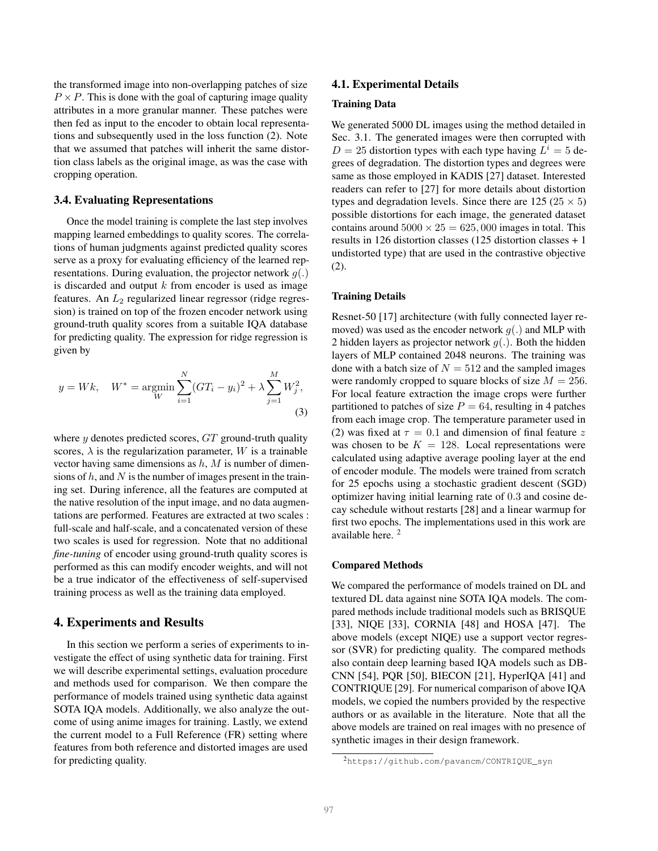the transformed image into non-overlapping patches of size  $P \times P$ . This is done with the goal of capturing image quality attributes in a more granular manner. These patches were then fed as input to the encoder to obtain local representations and subsequently used in the loss function (2). Note that we assumed that patches will inherit the same distortion class labels as the original image, as was the case with cropping operation.

# 3.4. Evaluating Representations

Once the model training is complete the last step involves mapping learned embeddings to quality scores. The correlations of human judgments against predicted quality scores serve as a proxy for evaluating efficiency of the learned representations. During evaluation, the projector network  $q(.)$ is discarded and output  $k$  from encoder is used as image features. An  $L_2$  regularized linear regressor (ridge regression) is trained on top of the frozen encoder network using ground-truth quality scores from a suitable IQA database for predicting quality. The expression for ridge regression is given by

$$
y = Wk, \quad W^* = \underset{W}{\text{argmin}} \sum_{i=1}^{N} (GT_i - y_i)^2 + \lambda \sum_{j=1}^{M} W_j^2,
$$
\n(3)

where  $y$  denotes predicted scores,  $GT$  ground-truth quality scores,  $\lambda$  is the regularization parameter, W is a trainable vector having same dimensions as  $h$ ,  $M$  is number of dimensions of  $h$ , and  $N$  is the number of images present in the training set. During inference, all the features are computed at the native resolution of the input image, and no data augmentations are performed. Features are extracted at two scales : full-scale and half-scale, and a concatenated version of these two scales is used for regression. Note that no additional *fine-tuning* of encoder using ground-truth quality scores is performed as this can modify encoder weights, and will not be a true indicator of the effectiveness of self-supervised training process as well as the training data employed.

#### 4. Experiments and Results

In this section we perform a series of experiments to investigate the effect of using synthetic data for training. First we will describe experimental settings, evaluation procedure and methods used for comparison. We then compare the performance of models trained using synthetic data against SOTA IQA models. Additionally, we also analyze the outcome of using anime images for training. Lastly, we extend the current model to a Full Reference (FR) setting where features from both reference and distorted images are used for predicting quality.

#### 4.1. Experimental Details

#### Training Data

We generated 5000 DL images using the method detailed in Sec. 3.1. The generated images were then corrupted with  $D = 25$  distortion types with each type having  $L^i = 5$  degrees of degradation. The distortion types and degrees were same as those employed in KADIS [27] dataset. Interested readers can refer to [27] for more details about distortion types and degradation levels. Since there are  $125 (25 \times 5)$ possible distortions for each image, the generated dataset contains around  $5000 \times 25 = 625,000$  images in total. This results in 126 distortion classes (125 distortion classes + 1 undistorted type) that are used in the contrastive objective (2).

#### Training Details

Resnet-50 [17] architecture (with fully connected layer removed) was used as the encoder network  $q(.)$  and MLP with 2 hidden layers as projector network  $q(.)$ . Both the hidden layers of MLP contained 2048 neurons. The training was done with a batch size of  $N = 512$  and the sampled images were randomly cropped to square blocks of size  $M = 256$ . For local feature extraction the image crops were further partitioned to patches of size  $P = 64$ , resulting in 4 patches from each image crop. The temperature parameter used in (2) was fixed at  $\tau = 0.1$  and dimension of final feature z was chosen to be  $K = 128$ . Local representations were calculated using adaptive average pooling layer at the end of encoder module. The models were trained from scratch for 25 epochs using a stochastic gradient descent (SGD) optimizer having initial learning rate of 0.3 and cosine decay schedule without restarts [28] and a linear warmup for first two epochs. The implementations used in this work are available here.<sup>2</sup>

#### Compared Methods

We compared the performance of models trained on DL and textured DL data against nine SOTA IQA models. The compared methods include traditional models such as BRISQUE [33], NIQE [33], CORNIA [48] and HOSA [47]. The above models (except NIQE) use a support vector regressor (SVR) for predicting quality. The compared methods also contain deep learning based IQA models such as DB-CNN [54], PQR [50], BIECON [21], HyperIQA [41] and CONTRIQUE [29]. For numerical comparison of above IQA models, we copied the numbers provided by the respective authors or as available in the literature. Note that all the above models are trained on real images with no presence of synthetic images in their design framework.

<sup>2</sup>https://github.com/pavancm/CONTRIQUE\_syn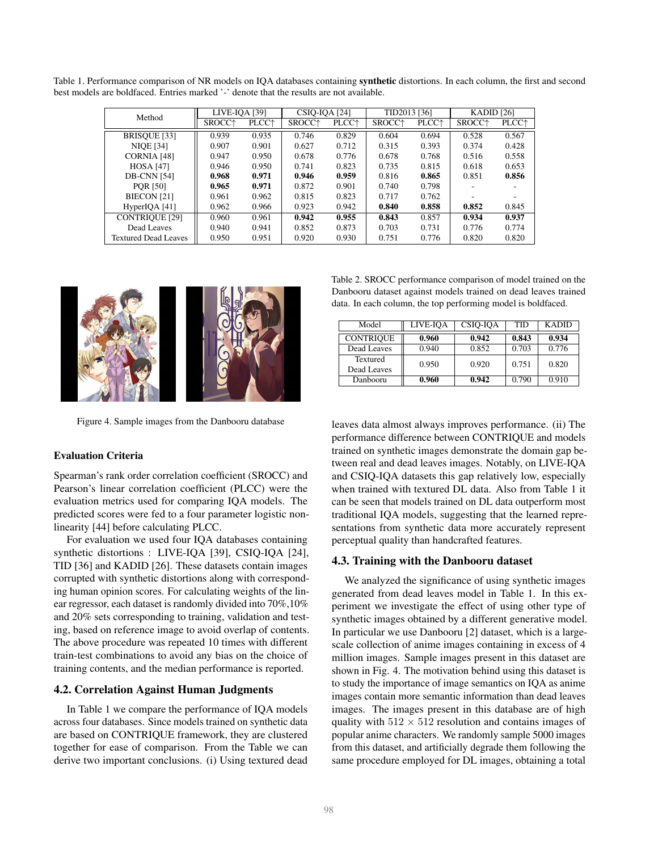Table 1. Performance comparison of NR models on IQA databases containing synthetic distortions. In each column, the first and second best models are boldfaced. Entries marked '-' denote that the results are not available.

| Method                      | LIVE-IQA [39]      |                   | CSIQ-IQA [24]      |                          | TID2013 [36]       |                          | KADID $[26]$       |                          |
|-----------------------------|--------------------|-------------------|--------------------|--------------------------|--------------------|--------------------------|--------------------|--------------------------|
|                             | SROCC <sup>+</sup> | PLCC <sup>+</sup> | SROCC <sup>+</sup> | <b>PLCC</b> <sup>+</sup> | SROCC <sup>+</sup> | <b>PLCC</b> <sup>+</sup> | SROCC <sup>+</sup> | <b>PLCC</b> <sup>+</sup> |
| BRISQUE [33]                | 0.939              | 0.935             | 0.746              | 0.829                    | 0.604              | 0.694                    | 0.528              | 0.567                    |
| <b>NIQE</b> [34]            | 0.907              | 0.901             | 0.627              | 0.712                    | 0.315              | 0.393                    | 0.374              | 0.428                    |
| CORNIA [48]                 | 0.947              | 0.950             | 0.678              | 0.776                    | 0.678              | 0.768                    | 0.516              | 0.558                    |
| <b>HOSA</b> [47]            | 0.946              | 0.950             | 0.741              | 0.823                    | 0.735              | 0.815                    | 0.618              | 0.653                    |
| <b>DB-CNN [54]</b>          | 0.968              | 0.971             | 0.946              | 0.959                    | 0.816              | 0.865                    | 0.851              | 0.856                    |
| <b>PQR [50]</b>             | 0.965              | 0.971             | 0.872              | 0.901                    | 0.740              | 0.798                    |                    |                          |
| BIECON <sub>[21]</sub>      | 0.961              | 0.962             | 0.815              | 0.823                    | 0.717              | 0.762                    |                    |                          |
| HyperIQA [41]               | 0.962              | 0.966             | 0.923              | 0.942                    | 0.840              | 0.858                    | 0.852              | 0.845                    |
| <b>CONTRIQUE [29]</b>       | 0.960              | 0.961             | 0.942              | 0.955                    | 0.843              | 0.857                    | 0.934              | 0.937                    |
| Dead Leaves                 | 0.940              | 0.941             | 0.852              | 0.873                    | 0.703              | 0.731                    | 0.776              | 0.774                    |
| <b>Textured Dead Leaves</b> | 0.950              | 0.951             | 0.920              | 0.930                    | 0.751              | 0.776                    | 0.820              | 0.820                    |



Figure 4. Sample images from the Danbooru database

#### Evaluation Criteria

Spearman's rank order correlation coefficient (SROCC) and Pearson's linear correlation coefficient (PLCC) were the evaluation metrics used for comparing IQA models. The predicted scores were fed to a four parameter logistic nonlinearity [44] before calculating PLCC.

For evaluation we used four IQA databases containing synthetic distortions : LIVE-IQA [39], CSIQ-IQA [24], TID [36] and KADID [26]. These datasets contain images corrupted with synthetic distortions along with corresponding human opinion scores. For calculating weights of the linear regressor, each dataset is randomly divided into 70%,10% and 20% sets corresponding to training, validation and testing, based on reference image to avoid overlap of contents. The above procedure was repeated 10 times with different train-test combinations to avoid any bias on the choice of training contents, and the median performance is reported.

### 4.2. Correlation Against Human Judgments

In Table 1 we compare the performance of IQA models across four databases. Since models trained on synthetic data are based on CONTRIQUE framework, they are clustered together for ease of comparison. From the Table we can derive two important conclusions. (i) Using textured dead

Table 2. SROCC performance comparison of model trained on the Danbooru dataset against models trained on dead leaves trained data. In each column, the top performing model is boldfaced.

| Model                   | LIVE-IOA | CSIO-IOA | TID   | <b>KADID</b> |
|-------------------------|----------|----------|-------|--------------|
| <b>CONTRIOUE</b>        | 0.960    | 0.942    | 0.843 | 0.934        |
| Dead Leaves             | 0.940    | 0.852    | 0.703 | 0.776        |
| Textured<br>Dead Leaves | 0.950    | 0.920    | 0.751 | 0.820        |
| Danbooru                | 0.960    | 0.942    | 0.790 | 0.910        |

leaves data almost always improves performance. (ii) The performance difference between CONTRIQUE and models trained on synthetic images demonstrate the domain gap between real and dead leaves images. Notably, on LIVE-IQA and CSIQ-IQA datasets this gap relatively low, especially when trained with textured DL data. Also from Table 1 it can be seen that models trained on DL data outperform most traditional IQA models, suggesting that the learned representations from synthetic data more accurately represent perceptual quality than handcrafted features.

#### 4.3. Training with the Danbooru dataset

We analyzed the significance of using synthetic images generated from dead leaves model in Table 1. In this experiment we investigate the effect of using other type of synthetic images obtained by a different generative model. In particular we use Danbooru [2] dataset, which is a largescale collection of anime images containing in excess of 4 million images. Sample images present in this dataset are shown in Fig. 4. The motivation behind using this dataset is to study the importance of image semantics on IQA as anime images contain more semantic information than dead leaves images. The images present in this database are of high quality with  $512 \times 512$  resolution and contains images of popular anime characters. We randomly sample 5000 images from this dataset, and artificially degrade them following the same procedure employed for DL images, obtaining a total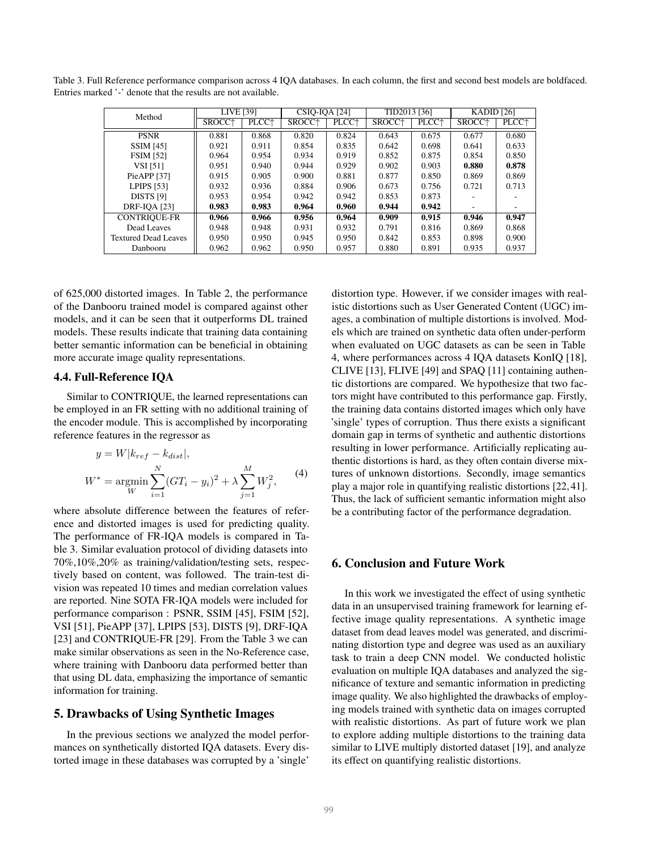| Method                      | LIVE [39]          |                          | TID2013 [36]<br><b>CSIO-IOA [24]</b> |                          |                    | KADID $[26]$             |                    |                   |
|-----------------------------|--------------------|--------------------------|--------------------------------------|--------------------------|--------------------|--------------------------|--------------------|-------------------|
|                             | SROCC <sup>+</sup> | <b>PLCC</b> <sup>+</sup> | SROCC <sup>+</sup>                   | <b>PLCC</b> <sup>+</sup> | SROCC <sup>+</sup> | <b>PLCC</b> <sup>+</sup> | SROCC <sup>+</sup> | PLCC <sup>+</sup> |
| <b>PSNR</b>                 | 0.881              | 0.868                    | 0.820                                | 0.824                    | 0.643              | 0.675                    | 0.677              | 0.680             |
| <b>SSIM [45]</b>            | 0.921              | 0.911                    | 0.854                                | 0.835                    | 0.642              | 0.698                    | 0.641              | 0.633             |
| <b>FSIM [52]</b>            | 0.964              | 0.954                    | 0.934                                | 0.919                    | 0.852              | 0.875                    | 0.854              | 0.850             |
| <b>VSI</b> [51]             | 0.951              | 0.940                    | 0.944                                | 0.929                    | 0.902              | 0.903                    | 0.880              | 0.878             |
| PieAPP <sub>[37]</sub>      | 0.915              | 0.905                    | 0.900                                | 0.881                    | 0.877              | 0.850                    | 0.869              | 0.869             |
| <b>LPIPS</b> [53]           | 0.932              | 0.936                    | 0.884                                | 0.906                    | 0.673              | 0.756                    | 0.721              | 0.713             |
| DISTS [9]                   | 0.953              | 0.954                    | 0.942                                | 0.942                    | 0.853              | 0.873                    |                    |                   |
| <b>DRF-IQA [23]</b>         | 0.983              | 0.983                    | 0.964                                | 0.960                    | 0.944              | 0.942                    |                    |                   |
| <b>CONTRIQUE-FR</b>         | 0.966              | 0.966                    | 0.956                                | 0.964                    | 0.909              | 0.915                    | 0.946              | 0.947             |
| Dead Leaves                 | 0.948              | 0.948                    | 0.931                                | 0.932                    | 0.791              | 0.816                    | 0.869              | 0.868             |
| <b>Textured Dead Leaves</b> | 0.950              | 0.950                    | 0.945                                | 0.950                    | 0.842              | 0.853                    | 0.898              | 0.900             |
| Danbooru                    | 0.962              | 0.962                    | 0.950                                | 0.957                    | 0.880              | 0.891                    | 0.935              | 0.937             |

Table 3. Full Reference performance comparison across 4 IQA databases. In each column, the first and second best models are boldfaced. Entries marked '-' denote that the results are not available.

of 625,000 distorted images. In Table 2, the performance of the Danbooru trained model is compared against other models, and it can be seen that it outperforms DL trained models. These results indicate that training data containing better semantic information can be beneficial in obtaining more accurate image quality representations.

### 4.4. Full-Reference IQA

Similar to CONTRIQUE, the learned representations can be employed in an FR setting with no additional training of the encoder module. This is accomplished by incorporating reference features in the regressor as

$$
y = W|k_{ref} - k_{dist}|,
$$
  
\n
$$
W^* = \underset{W}{\text{argmin}} \sum_{i=1}^{N} (GT_i - y_i)^2 + \lambda \sum_{j=1}^{M} W_j^2,
$$
 (4)

where absolute difference between the features of reference and distorted images is used for predicting quality. The performance of FR-IQA models is compared in Table 3. Similar evaluation protocol of dividing datasets into 70%,10%,20% as training/validation/testing sets, respectively based on content, was followed. The train-test division was repeated 10 times and median correlation values are reported. Nine SOTA FR-IQA models were included for performance comparison : PSNR, SSIM [45], FSIM [52], VSI [51], PieAPP [37], LPIPS [53], DISTS [9], DRF-IQA [23] and CONTRIQUE-FR [29]. From the Table 3 we can make similar observations as seen in the No-Reference case, where training with Danbooru data performed better than that using DL data, emphasizing the importance of semantic information for training.

# 5. Drawbacks of Using Synthetic Images

In the previous sections we analyzed the model performances on synthetically distorted IQA datasets. Every distorted image in these databases was corrupted by a 'single' distortion type. However, if we consider images with realistic distortions such as User Generated Content (UGC) images, a combination of multiple distortions is involved. Models which are trained on synthetic data often under-perform when evaluated on UGC datasets as can be seen in Table 4, where performances across 4 IQA datasets KonIQ [18], CLIVE [13], FLIVE [49] and SPAQ [11] containing authentic distortions are compared. We hypothesize that two factors might have contributed to this performance gap. Firstly, the training data contains distorted images which only have 'single' types of corruption. Thus there exists a significant domain gap in terms of synthetic and authentic distortions resulting in lower performance. Artificially replicating authentic distortions is hard, as they often contain diverse mixtures of unknown distortions. Secondly, image semantics play a major role in quantifying realistic distortions [22, 41]. Thus, the lack of sufficient semantic information might also be a contributing factor of the performance degradation.

# 6. Conclusion and Future Work

In this work we investigated the effect of using synthetic data in an unsupervised training framework for learning effective image quality representations. A synthetic image dataset from dead leaves model was generated, and discriminating distortion type and degree was used as an auxiliary task to train a deep CNN model. We conducted holistic evaluation on multiple IQA databases and analyzed the significance of texture and semantic information in predicting image quality. We also highlighted the drawbacks of employing models trained with synthetic data on images corrupted with realistic distortions. As part of future work we plan to explore adding multiple distortions to the training data similar to LIVE multiply distorted dataset [19], and analyze its effect on quantifying realistic distortions.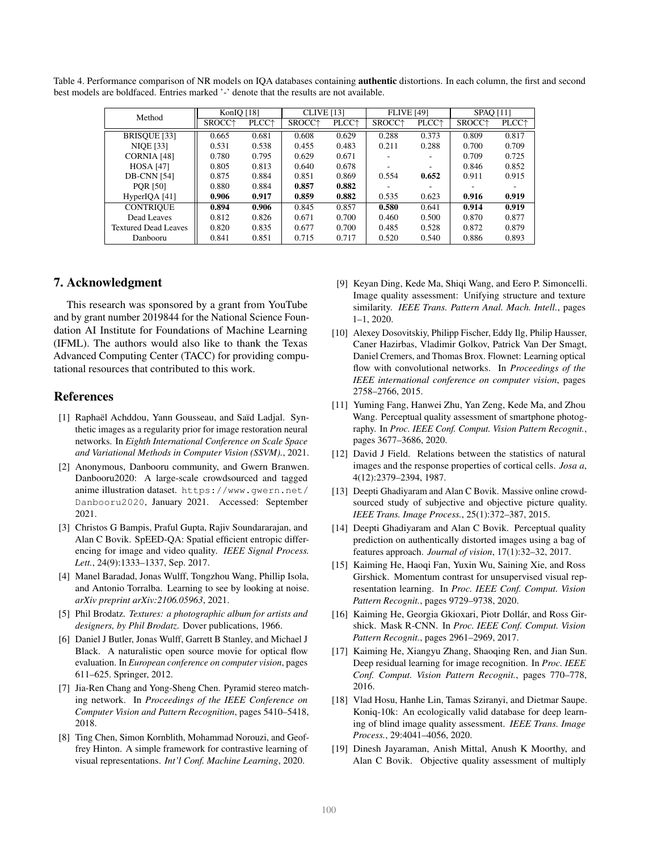Table 4. Performance comparison of NR models on IQA databases containing authentic distortions. In each column, the first and second best models are boldfaced. Entries marked '-' denote that the results are not available.

| Method                      | KonIO [18]         |                          | <b>CLIVE</b> [13]  |                          | <b>FLIVE [49]</b>  |                          | <b>SPAO [11]</b>   |                          |
|-----------------------------|--------------------|--------------------------|--------------------|--------------------------|--------------------|--------------------------|--------------------|--------------------------|
|                             | SROCC <sup>+</sup> | <b>PLCC</b> <sup>+</sup> | SROCC <sup>+</sup> | <b>PLCC</b> <sup>+</sup> | SROCC <sup>+</sup> | <b>PLCC</b> <sup>+</sup> | SROCC <sup>+</sup> | <b>PLCC</b> <sup>+</sup> |
| BRISQUE [33]                | 0.665              | 0.681                    | 0.608              | 0.629                    | 0.288              | 0.373                    | 0.809              | 0.817                    |
| <b>NIQE</b> [33]            | 0.531              | 0.538                    | 0.455              | 0.483                    | 0.211              | 0.288                    | 0.700              | 0.709                    |
| CORNIA [48]                 | 0.780              | 0.795                    | 0.629              | 0.671                    |                    |                          | 0.709              | 0.725                    |
| <b>HOSA</b> [47]            | 0.805              | 0.813                    | 0.640              | 0.678                    |                    |                          | 0.846              | 0.852                    |
| <b>DB-CNN</b> [54]          | 0.875              | 0.884                    | 0.851              | 0.869                    | 0.554              | 0.652                    | 0.911              | 0.915                    |
| <b>POR [50]</b>             | 0.880              | 0.884                    | 0.857              | 0.882                    |                    |                          |                    |                          |
| HyperIQA[41]                | 0.906              | 0.917                    | 0.859              | 0.882                    | 0.535              | 0.623                    | 0.916              | 0.919                    |
| <b>CONTRIQUE</b>            | 0.894              | 0.906                    | 0.845              | 0.857                    | 0.580              | 0.641                    | 0.914              | 0.919                    |
| Dead Leaves                 | 0.812              | 0.826                    | 0.671              | 0.700                    | 0.460              | 0.500                    | 0.870              | 0.877                    |
| <b>Textured Dead Leaves</b> | 0.820              | 0.835                    | 0.677              | 0.700                    | 0.485              | 0.528                    | 0.872              | 0.879                    |
| Danbooru                    | 0.841              | 0.851                    | 0.715              | 0.717                    | 0.520              | 0.540                    | 0.886              | 0.893                    |

# 7. Acknowledgment

This research was sponsored by a grant from YouTube and by grant number 2019844 for the National Science Foundation AI Institute for Foundations of Machine Learning (IFML). The authors would also like to thank the Texas Advanced Computing Center (TACC) for providing computational resources that contributed to this work.

# References

- [1] Raphaël Achddou, Yann Gousseau, and Saïd Ladjal. Synthetic images as a regularity prior for image restoration neural networks. In *Eighth International Conference on Scale Space and Variational Methods in Computer Vision (SSVM).*, 2021.
- [2] Anonymous, Danbooru community, and Gwern Branwen. Danbooru2020: A large-scale crowdsourced and tagged anime illustration dataset. https://www.gwern.net/ Danbooru2020, January 2021. Accessed: September 2021.
- [3] Christos G Bampis, Praful Gupta, Rajiv Soundararajan, and Alan C Bovik. SpEED-QA: Spatial efficient entropic differencing for image and video quality. *IEEE Signal Process. Lett.*, 24(9):1333–1337, Sep. 2017.
- [4] Manel Baradad, Jonas Wulff, Tongzhou Wang, Phillip Isola, and Antonio Torralba. Learning to see by looking at noise. *arXiv preprint arXiv:2106.05963*, 2021.
- [5] Phil Brodatz. *Textures: a photographic album for artists and designers, by Phil Brodatz*. Dover publications, 1966.
- [6] Daniel J Butler, Jonas Wulff, Garrett B Stanley, and Michael J Black. A naturalistic open source movie for optical flow evaluation. In *European conference on computer vision*, pages 611–625. Springer, 2012.
- [7] Jia-Ren Chang and Yong-Sheng Chen. Pyramid stereo matching network. In *Proceedings of the IEEE Conference on Computer Vision and Pattern Recognition*, pages 5410–5418, 2018.
- [8] Ting Chen, Simon Kornblith, Mohammad Norouzi, and Geoffrey Hinton. A simple framework for contrastive learning of visual representations. *Int'l Conf. Machine Learning*, 2020.
- [9] Keyan Ding, Kede Ma, Shiqi Wang, and Eero P. Simoncelli. Image quality assessment: Unifying structure and texture similarity. *IEEE Trans. Pattern Anal. Mach. Intell.*, pages 1–1, 2020.
- [10] Alexey Dosovitskiy, Philipp Fischer, Eddy Ilg, Philip Hausser, Caner Hazirbas, Vladimir Golkov, Patrick Van Der Smagt, Daniel Cremers, and Thomas Brox. Flownet: Learning optical flow with convolutional networks. In *Proceedings of the IEEE international conference on computer vision*, pages 2758–2766, 2015.
- [11] Yuming Fang, Hanwei Zhu, Yan Zeng, Kede Ma, and Zhou Wang. Perceptual quality assessment of smartphone photography. In *Proc. IEEE Conf. Comput. Vision Pattern Recognit.*, pages 3677–3686, 2020.
- [12] David J Field. Relations between the statistics of natural images and the response properties of cortical cells. *Josa a*, 4(12):2379–2394, 1987.
- [13] Deepti Ghadiyaram and Alan C Bovik. Massive online crowdsourced study of subjective and objective picture quality. *IEEE Trans. Image Process.*, 25(1):372–387, 2015.
- [14] Deepti Ghadiyaram and Alan C Bovik. Perceptual quality prediction on authentically distorted images using a bag of features approach. *Journal of vision*, 17(1):32–32, 2017.
- [15] Kaiming He, Haoqi Fan, Yuxin Wu, Saining Xie, and Ross Girshick. Momentum contrast for unsupervised visual representation learning. In *Proc. IEEE Conf. Comput. Vision Pattern Recognit.*, pages 9729–9738, 2020.
- [16] Kaiming He, Georgia Gkioxari, Piotr Dollár, and Ross Girshick. Mask R-CNN. In *Proc. IEEE Conf. Comput. Vision Pattern Recognit.*, pages 2961–2969, 2017.
- [17] Kaiming He, Xiangyu Zhang, Shaoqing Ren, and Jian Sun. Deep residual learning for image recognition. In *Proc. IEEE Conf. Comput. Vision Pattern Recognit.*, pages 770–778, 2016.
- [18] Vlad Hosu, Hanhe Lin, Tamas Sziranyi, and Dietmar Saupe. Koniq-10k: An ecologically valid database for deep learning of blind image quality assessment. *IEEE Trans. Image Process.*, 29:4041–4056, 2020.
- [19] Dinesh Jayaraman, Anish Mittal, Anush K Moorthy, and Alan C Bovik. Objective quality assessment of multiply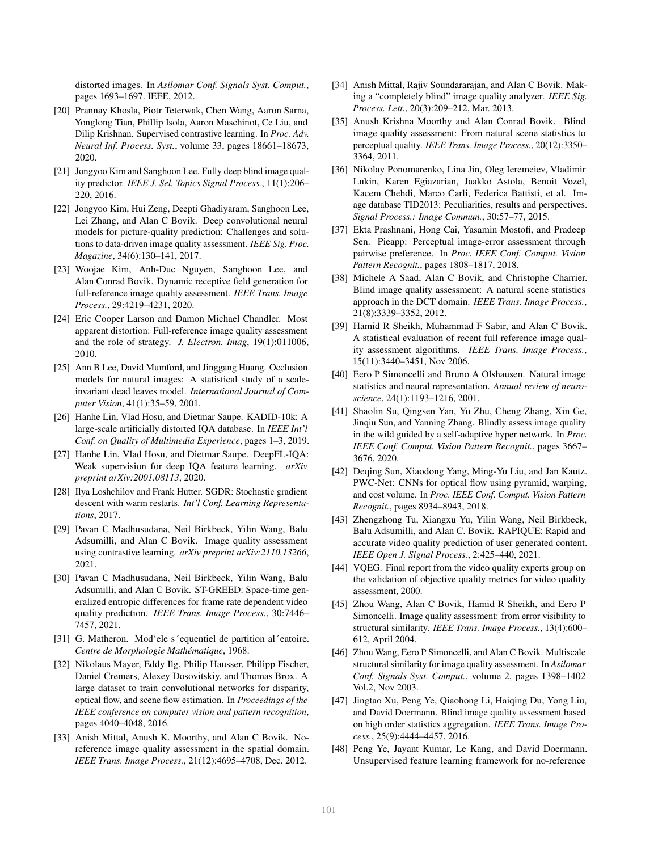distorted images. In *Asilomar Conf. Signals Syst. Comput.*, pages 1693–1697. IEEE, 2012.

- [20] Prannay Khosla, Piotr Teterwak, Chen Wang, Aaron Sarna, Yonglong Tian, Phillip Isola, Aaron Maschinot, Ce Liu, and Dilip Krishnan. Supervised contrastive learning. In *Proc. Adv. Neural Inf. Process. Syst.*, volume 33, pages 18661–18673, 2020.
- [21] Jongyoo Kim and Sanghoon Lee. Fully deep blind image quality predictor. *IEEE J. Sel. Topics Signal Process.*, 11(1):206– 220, 2016.
- [22] Jongyoo Kim, Hui Zeng, Deepti Ghadiyaram, Sanghoon Lee, Lei Zhang, and Alan C Bovik. Deep convolutional neural models for picture-quality prediction: Challenges and solutions to data-driven image quality assessment. *IEEE Sig. Proc. Magazine*, 34(6):130–141, 2017.
- [23] Woojae Kim, Anh-Duc Nguyen, Sanghoon Lee, and Alan Conrad Bovik. Dynamic receptive field generation for full-reference image quality assessment. *IEEE Trans. Image Process.*, 29:4219–4231, 2020.
- [24] Eric Cooper Larson and Damon Michael Chandler. Most apparent distortion: Full-reference image quality assessment and the role of strategy. *J. Electron. Imag*, 19(1):011006, 2010.
- [25] Ann B Lee, David Mumford, and Jinggang Huang. Occlusion models for natural images: A statistical study of a scaleinvariant dead leaves model. *International Journal of Computer Vision*, 41(1):35–59, 2001.
- [26] Hanhe Lin, Vlad Hosu, and Dietmar Saupe. KADID-10k: A large-scale artificially distorted IQA database. In *IEEE Int'l Conf. on Quality of Multimedia Experience*, pages 1–3, 2019.
- [27] Hanhe Lin, Vlad Hosu, and Dietmar Saupe. DeepFL-IQA: Weak supervision for deep IQA feature learning. *arXiv preprint arXiv:2001.08113*, 2020.
- [28] Ilya Loshchilov and Frank Hutter. SGDR: Stochastic gradient descent with warm restarts. *Int'l Conf. Learning Representations*, 2017.
- [29] Pavan C Madhusudana, Neil Birkbeck, Yilin Wang, Balu Adsumilli, and Alan C Bovik. Image quality assessment using contrastive learning. *arXiv preprint arXiv:2110.13266*, 2021.
- [30] Pavan C Madhusudana, Neil Birkbeck, Yilin Wang, Balu Adsumilli, and Alan C Bovik. ST-GREED: Space-time generalized entropic differences for frame rate dependent video quality prediction. *IEEE Trans. Image Process.*, 30:7446– 7457, 2021.
- [31] G. Matheron. Mod'ele s'equentiel de partition al 'eatoire. *Centre de Morphologie Mathematique ´* , 1968.
- [32] Nikolaus Mayer, Eddy Ilg, Philip Hausser, Philipp Fischer, Daniel Cremers, Alexey Dosovitskiy, and Thomas Brox. A large dataset to train convolutional networks for disparity, optical flow, and scene flow estimation. In *Proceedings of the IEEE conference on computer vision and pattern recognition*, pages 4040–4048, 2016.
- [33] Anish Mittal, Anush K. Moorthy, and Alan C Bovik. Noreference image quality assessment in the spatial domain. *IEEE Trans. Image Process.*, 21(12):4695–4708, Dec. 2012.
- [34] Anish Mittal, Rajiv Soundararajan, and Alan C Bovik. Making a "completely blind" image quality analyzer. *IEEE Sig. Process. Lett.*, 20(3):209–212, Mar. 2013.
- [35] Anush Krishna Moorthy and Alan Conrad Bovik. Blind image quality assessment: From natural scene statistics to perceptual quality. *IEEE Trans. Image Process.*, 20(12):3350– 3364, 2011.
- [36] Nikolay Ponomarenko, Lina Jin, Oleg Ieremeiev, Vladimir Lukin, Karen Egiazarian, Jaakko Astola, Benoit Vozel, Kacem Chehdi, Marco Carli, Federica Battisti, et al. Image database TID2013: Peculiarities, results and perspectives. *Signal Process.: Image Commun.*, 30:57–77, 2015.
- [37] Ekta Prashnani, Hong Cai, Yasamin Mostofi, and Pradeep Sen. Pieapp: Perceptual image-error assessment through pairwise preference. In *Proc. IEEE Conf. Comput. Vision Pattern Recognit.*, pages 1808–1817, 2018.
- [38] Michele A Saad, Alan C Bovik, and Christophe Charrier. Blind image quality assessment: A natural scene statistics approach in the DCT domain. *IEEE Trans. Image Process.*, 21(8):3339–3352, 2012.
- [39] Hamid R Sheikh, Muhammad F Sabir, and Alan C Bovik. A statistical evaluation of recent full reference image quality assessment algorithms. *IEEE Trans. Image Process.*, 15(11):3440–3451, Nov 2006.
- [40] Eero P Simoncelli and Bruno A Olshausen. Natural image statistics and neural representation. *Annual review of neuroscience*, 24(1):1193–1216, 2001.
- [41] Shaolin Su, Qingsen Yan, Yu Zhu, Cheng Zhang, Xin Ge, Jinqiu Sun, and Yanning Zhang. Blindly assess image quality in the wild guided by a self-adaptive hyper network. In *Proc. IEEE Conf. Comput. Vision Pattern Recognit.*, pages 3667– 3676, 2020.
- [42] Deqing Sun, Xiaodong Yang, Ming-Yu Liu, and Jan Kautz. PWC-Net: CNNs for optical flow using pyramid, warping, and cost volume. In *Proc. IEEE Conf. Comput. Vision Pattern Recognit.*, pages 8934–8943, 2018.
- [43] Zhengzhong Tu, Xiangxu Yu, Yilin Wang, Neil Birkbeck, Balu Adsumilli, and Alan C. Bovik. RAPIQUE: Rapid and accurate video quality prediction of user generated content. *IEEE Open J. Signal Process.*, 2:425–440, 2021.
- [44] VQEG. Final report from the video quality experts group on the validation of objective quality metrics for video quality assessment, 2000.
- [45] Zhou Wang, Alan C Bovik, Hamid R Sheikh, and Eero P Simoncelli. Image quality assessment: from error visibility to structural similarity. *IEEE Trans. Image Process.*, 13(4):600– 612, April 2004.
- [46] Zhou Wang, Eero P Simoncelli, and Alan C Bovik. Multiscale structural similarity for image quality assessment. In *Asilomar Conf. Signals Syst. Comput.*, volume 2, pages 1398–1402 Vol.2, Nov 2003.
- [47] Jingtao Xu, Peng Ye, Qiaohong Li, Haiqing Du, Yong Liu, and David Doermann. Blind image quality assessment based on high order statistics aggregation. *IEEE Trans. Image Process.*, 25(9):4444–4457, 2016.
- [48] Peng Ye, Jayant Kumar, Le Kang, and David Doermann. Unsupervised feature learning framework for no-reference